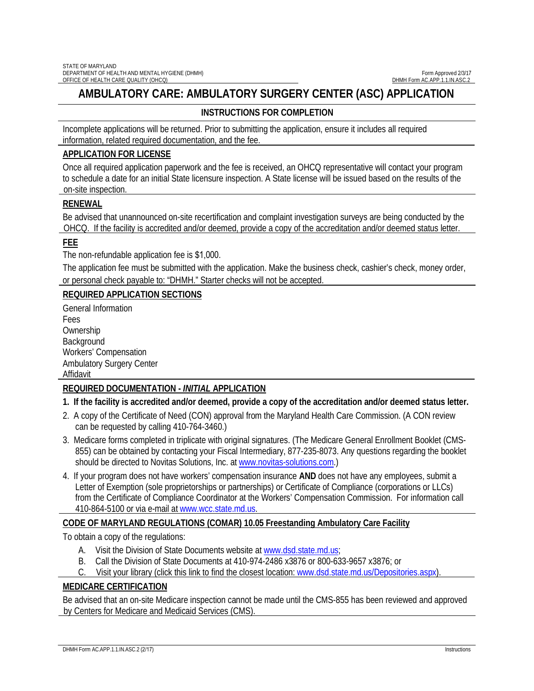# **AMBULATORY CARE: AMBULATORY SURGERY CENTER (ASC) APPLICATION**

## **INSTRUCTIONS FOR COMPLETION**

Incomplete applications will be returned. Prior to submitting the application, ensure it includes all required information, related required documentation, and the fee.

### **APPLICATION FOR LICENSE**

Once all required application paperwork and the fee is received, an OHCQ representative will contact your program to schedule a date for an initial State licensure inspection. A State license will be issued based on the results of the on-site inspection.

### **RENEWAL**

Be advised that unannounced on-site recertification and complaint investigation surveys are being conducted by the OHCQ. If the facility is accredited and/or deemed, provide a copy of the accreditation and/or deemed status letter.

### **FEE**

The non-refundable application fee is \$1,000.

The application fee must be submitted with the application. Make the business check, cashier's check, money order, or personal check payable to: "DHMH." Starter checks will not be accepted.

### **REQUIRED APPLICATION SECTIONS**

General Information Fees **Ownership** Background Workers' Compensation Ambulatory Surgery Center Affidavit

### **REQUIRED DOCUMENTATION -** *INITIAL* **APPLICATION**

### **1. If the facility is accredited and/or deemed, provide a copy of the accreditation and/or deemed status letter.**

- 2. A copy of the Certificate of Need (CON) approval from the Maryland Health Care Commission. (A CON review can be requested by calling 410-764-3460.)
- 3. Medicare forms completed in triplicate with original signatures. (The Medicare General Enrollment Booklet (CMS-855) can be obtained by contacting your Fiscal Intermediary, 877-235-8073. Any questions regarding the booklet should be directed to Novitas Solutions, Inc. at [www.novitas-solutions.com.](http://www.novitas-solutions.com/))
- 4. If your program does not have workers' compensation insurance **AND** does not have any employees, submit a Letter of Exemption (sole proprietorships or partnerships) or Certificate of Compliance (corporations or LLCs) from the Certificate of Compliance Coordinator at the Workers' Compensation Commission. For information call 410-864-5100 or via e-mail at [www.wcc.state.md.us.](http://www.wcc.state.md.us/)

### **CODE OF MARYLAND REGULATIONS (COMAR) 10.05 Freestanding Ambulatory Care Facility**

To obtain a copy of the regulations:

- A. Visit the Division of State Documents website a[t www.dsd.state.md.us;](http://www.dsd.state.md.us/)
- B. Call the Division of State Documents at 410-974-2486 x3876 or 800-633-9657 x3876; or
- C. Visit your library (click this link to find the closest location: [www.dsd.state.md.us/Depositories.aspx\)](http://www.dsd.state.md.us/Depositories.aspx).

### **MEDICARE CERTIFICATION**

Be advised that an on-site Medicare inspection cannot be made until the CMS-855 has been reviewed and approved by Centers for Medicare and Medicaid Services (CMS).